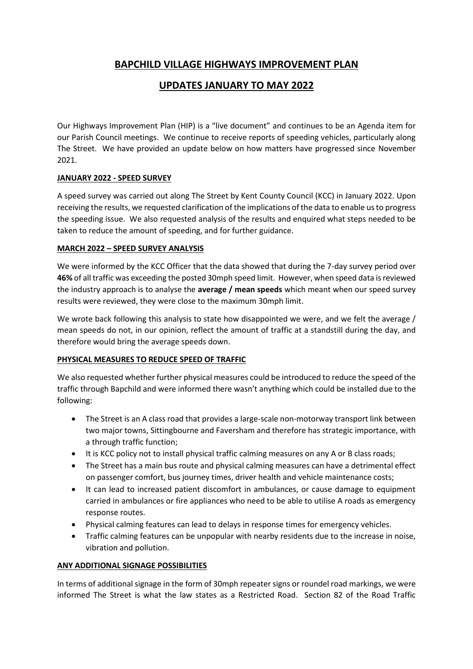# **BAPCHILD VILLAGE HIGHWAYS IMPROVEMENT PLAN**

# **UPDATES JANUARY TO MAY 2022**

Our Highways Improvement Plan (HIP) is a "live document" and continues to be an Agenda item for our Parish Council meetings. We continue to receive reports of speeding vehicles, particularly along The Street. We have provided an update below on how matters have progressed since November 2021.

## **JANUARY 2022 - SPEED SURVEY**

A speed survey was carried out along The Street by Kent County Council (KCC) in January 2022. Upon receiving the results, we requested clarification of the implications of the data to enable us to progress the speeding issue. We also requested analysis of the results and enquired what steps needed to be taken to reduce the amount of speeding, and for further guidance.

## **MARCH 2022 – SPEED SURVEY ANALYSIS**

We were informed by the KCC Officer that the data showed that during the 7-day survey period over **46%** of all traffic was exceeding the posted 30mph speed limit. However, when speed data is reviewed the industry approach is to analyse the **average / mean speeds** which meant when our speed survey results were reviewed, they were close to the maximum 30mph limit.

We wrote back following this analysis to state how disappointed we were, and we felt the average / mean speeds do not, in our opinion, reflect the amount of traffic at a standstill during the day, and therefore would bring the average speeds down.

# **PHYSICAL MEASURES TO REDUCE SPEED OF TRAFFIC**

We also requested whether further physical measures could be introduced to reduce the speed of the traffic through Bapchild and were informed there wasn't anything which could be installed due to the following:

- The Street is an A class road that provides a large-scale non-motorway transport link between two major towns, Sittingbourne and Faversham and therefore has strategic importance, with a through traffic function;
- It is KCC policy not to install physical traffic calming measures on any A or B class roads;
- The Street has a main bus route and physical calming measures can have a detrimental effect on passenger comfort, bus journey times, driver health and vehicle maintenance costs;
- It can lead to increased patient discomfort in ambulances, or cause damage to equipment carried in ambulances or fire appliances who need to be able to utilise A roads as emergency response routes.
- Physical calming features can lead to delays in response times for emergency vehicles.
- Traffic calming features can be unpopular with nearby residents due to the increase in noise, vibration and pollution.

## **ANY ADDITIONAL SIGNAGE POSSIBILITIES**

In terms of additional signage in the form of 30mph repeater signs or roundel road markings, we were informed The Street is what the law states as a Restricted Road. Section 82 of the Road Traffic